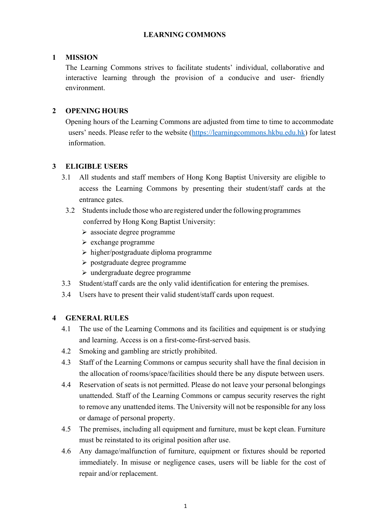# **LEARNING COMMONS**

### **1 MISSION**

The Learning Commons strives to facilitate students' individual, collaborative and interactive learning through the provision of a conducive and user- friendly environment.

# **2 OPENING HOURS**

Opening hours of the Learning Commons are adjusted from time to time to accommodate users' needs. Please refer to the website (https://learningcommons.hkbu.edu.hk) for latest information.

### **3 ELIGIBLE USERS**

- 3.1 All students and staff members of Hong Kong Baptist University are eligible to access the Learning Commons by presenting their student/staff cards at the entrance gates.
	- 3.2 Students include those who are registered under the following programmes conferred by Hong Kong Baptist University:
		- associate degree programme
		- $\triangleright$  exchange programme
		- $\triangleright$  higher/postgraduate diploma programme
		- postgraduate degree programme
		- undergraduate degree programme
- 3.3 Student/staff cards are the only valid identification for entering the premises.
- 3.4 Users have to present their valid student/staff cards upon request.

### **4 GENERAL RULES**

- 4.1 The use of the Learning Commons and its facilities and equipment is or studying and learning. Access is on a first-come-first-served basis.
- 4.2 Smoking and gambling are strictly prohibited.
- 4.3 Staff of the Learning Commons or campus security shall have the final decision in the allocation of rooms/space/facilities should there be any dispute between users.
- 4.4 Reservation of seats is not permitted. Please do not leave your personal belongings unattended. Staff of the Learning Commons or campus security reserves the right to remove any unattended items. The University will not be responsible for any loss or damage of personal property.
- 4.5 The premises, including all equipment and furniture, must be kept clean. Furniture must be reinstated to its original position after use.
- 4.6 Any damage/malfunction of furniture, equipment or fixtures should be reported immediately. In misuse or negligence cases, users will be liable for the cost of repair and/or replacement.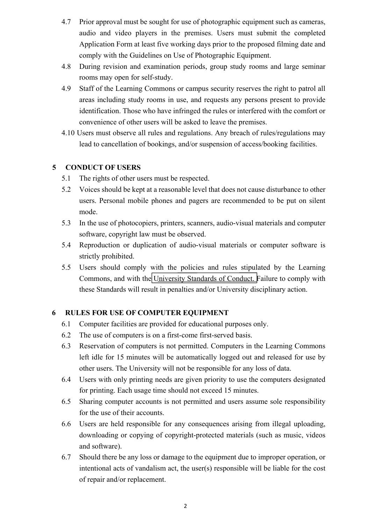- 4.7 Prior approval must be sought for use of photographic equipment such as cameras, audio and video players in the premises. Users must submit the completed Application Form at least five working days prior to the proposed filming date and comply with the Guidelines on Use of Photographic Equipment.
- 4.8 During revision and examination periods, group study rooms and large seminar rooms may open for self-study.
- 4.9 Staff of the Learning Commons or campus security reserves the right to patrol all areas including study rooms in use, and requests any persons present to provide identification. Those who have infringed the rules or interfered with the comfort or convenience of other users will be asked to leave the premises.
- 4.10 Users must observe all rules and regulations. Any breach of rules/regulations may lead to cancellation of bookings, and/or suspension of access/booking facilities.

# **5 CONDUCT OF USERS**

- 5.1 The rights of other users must be respected.
- 5.2 Voices should be kept at a reasonable level that does not cause disturbance to other users. Personal mobile phones and pagers are recommended to be put on silent mode.
- 5.3 In the use of photocopiers, printers, scanners, audio-visual materials and computer software, copyright law must be observed.
- 5.4 Reproduction or duplication of audio-visual materials or computer software is strictly prohibited.
- 5.5 Users should comply with the policies and rules stipulated by the Learning Commons, and with the University Standards of Conduct. Failure to comply with these Standards will result in penalties and/or University disciplinary action.

# **6 RULES FOR USE OF COMPUTER EQUIPMENT**

- 6.1 Computer facilities are provided for educational purposes only.
- 6.2 The use of computers is on a first-come first-served basis.
- 6.3 Reservation of computers is not permitted. Computers in the Learning Commons left idle for 15 minutes will be automatically logged out and released for use by other users. The University will not be responsible for any loss of data.
- 6.4 Users with only printing needs are given priority to use the computers designated for printing. Each usage time should not exceed 15 minutes.
- 6.5 Sharing computer accounts is not permitted and users assume sole responsibility for the use of their accounts.
- 6.6 Users are held responsible for any consequences arising from illegal uploading, downloading or copying of copyright-protected materials (such as music, videos and software).
- 6.7 Should there be any loss or damage to the equipment due to improper operation, or intentional acts of vandalism act, the user(s) responsible will be liable for the cost of repair and/or replacement.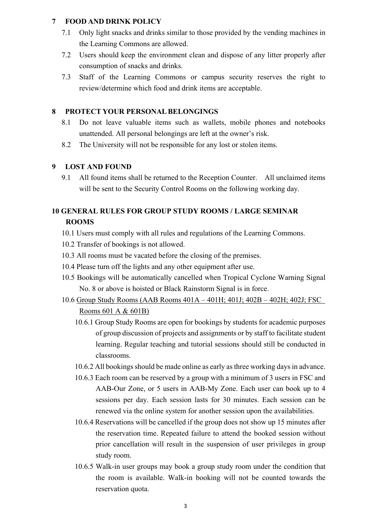### **7 FOOD AND DRINK POLICY**

- 7.1 Only light snacks and drinks similar to those provided by the vending machines in the Learning Commons are allowed.
- 7.2 Users should keep the environment clean and dispose of any litter properly after consumption of snacks and drinks.
- 7.3 Staff of the Learning Commons or campus security reserves the right to review/determine which food and drink items are acceptable.

## **8 PROTECT YOUR PERSONAL BELONGINGS**

- 8.1 Do not leave valuable items such as wallets, mobile phones and notebooks unattended. All personal belongings are left at the owner's risk.
- 8.2 The University will not be responsible for any lost or stolen items.

### **9 LOST AND FOUND**

9.1 All found items shall be returned to the Reception Counter. All unclaimed items will be sent to the Security Control Rooms on the following working day.

# **10 GENERAL RULES FOR GROUP STUDY ROOMS / LARGE SEMINAR ROOMS**

- 10.1 Users must comply with all rules and regulations of the Learning Commons.
- 10.2 Transfer of bookings is not allowed.
- 10.3 All rooms must be vacated before the closing of the premises.
- 10.4 Please turn off the lights and any other equipment after use.
- 10.5 Bookings will be automatically cancelled when Tropical Cyclone Warning Signal No. 8 or above is hoisted or Black Rainstorm Signal is in force.
- 10.6 Group Study Rooms (AAB Rooms 401A 401H; 401J; 402B 402H; 402J; FSC Rooms 601 A & 601B)
	- 10.6.1 Group Study Rooms are open for bookings by students for academic purposes of group discussion of projects and assignments or by staff to facilitate student learning. Regular teaching and tutorial sessions should still be conducted in classrooms.
	- 10.6.2 All bookings should be made online as early as three working days in advance.
	- 10.6.3 Each room can be reserved by a group with a minimum of 3 users in FSC and AAB-Our Zone, or 5 users in AAB-My Zone. Each user can book up to 4 sessions per day. Each session lasts for 30 minutes. Each session can be renewed via the online system for another session upon the availabilities.
	- 10.6.4 Reservations will be cancelled if the group does not show up 15 minutes after the reservation time. Repeated failure to attend the booked session without prior cancellation will result in the suspension of user privileges in group study room.
	- 10.6.5 Walk-in user groups may book a group study room under the condition that the room is available. Walk-in booking will not be counted towards the reservation quota.